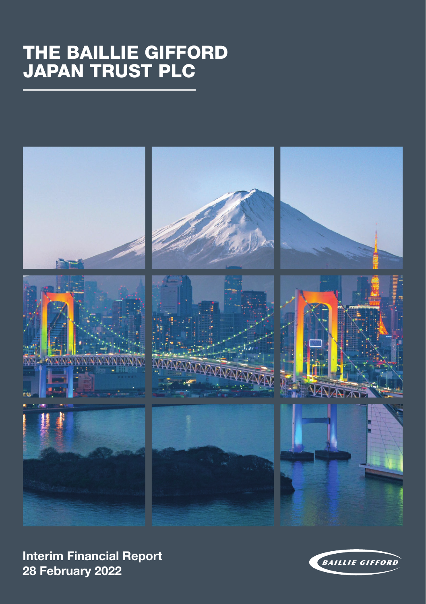# THE BAILLIE GIFFORD JAPAN TRUST PLC



**Interim Financial Report 28 February 2022**

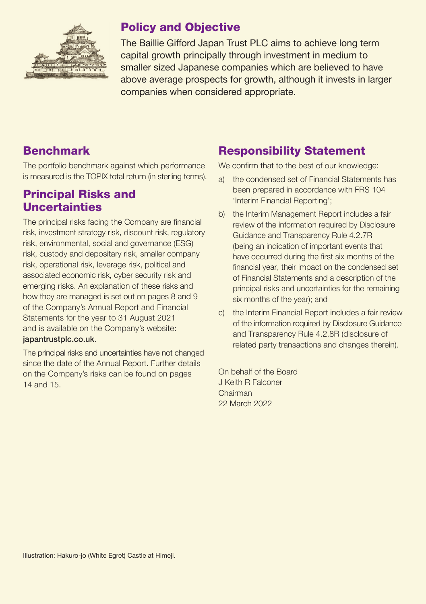

# Policy and Objective

The Baillie Gifford Japan Trust PLC aims to achieve long term capital growth principally through investment in medium to smaller sized Japanese companies which are believed to have above average prospects for growth, although it invests in larger companies when considered appropriate.

# Benchmark

The portfolio benchmark against which performance is measured is the TOPIX total return (in sterling terms).

### Principal Risks and **Uncertainties**

The principal risks facing the Company are financial risk, investment strategy risk, discount risk, regulatory risk, environmental, social and governance (ESG) risk, custody and depositary risk, smaller company risk, operational risk, leverage risk, political and associated economic risk, cyber security risk and emerging risks. An explanation of these risks and how they are managed is set out on pages 8 and 9 of the Company's Annual Report and Financial Statements for the year to 31 August 2021 and is available on the Company's website: japantrustplc.co.uk.

The principal risks and uncertainties have not changed since the date of the Annual Report. Further details on the Company's risks can be found on pages 14 and 15.

# Responsibility Statement

We confirm that to the best of our knowledge:

- a) the condensed set of Financial Statements has been prepared in accordance with FRS 104 'Interim Financial Reporting';
- b) the Interim Management Report includes a fair review of the information required by Disclosure Guidance and Transparency Rule 4.2.7R (being an indication of important events that have occurred during the first six months of the financial year, their impact on the condensed set of Financial Statements and a description of the principal risks and uncertainties for the remaining six months of the year); and
- c) the Interim Financial Report includes a fair review of the information required by Disclosure Guidance and Transparency Rule 4.2.8R (disclosure of related party transactions and changes therein).

On behalf of the Board J Keith R Falconer Chairman 22 March 2022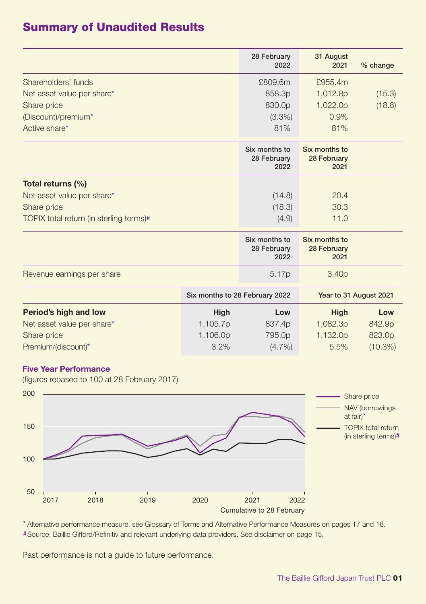# Summary of Unaudited Results

|                                         |                                | 28 February<br>2022                  | 31 August<br>2021                    | % change               |
|-----------------------------------------|--------------------------------|--------------------------------------|--------------------------------------|------------------------|
| Shareholders' funds                     |                                | £809.6m                              | £955.4m                              |                        |
| Net asset value per share*              |                                | 858.3p                               | 1,012.8p                             | (15.3)                 |
| Share price                             |                                | 830.0p                               | 1,022.0p                             | (18.8)                 |
| (Discount)/premium*                     |                                | $(3.3\%)$                            | 0.9%                                 |                        |
| Active share*                           |                                | 81%                                  | 81%                                  |                        |
|                                         |                                | Six months to<br>28 February<br>2022 | Six months to<br>28 February<br>2021 |                        |
| Total returns (%)                       |                                |                                      |                                      |                        |
| Net asset value per share*              |                                | (14.8)                               | 20.4                                 |                        |
| Share price                             |                                | (18.3)                               | 30.3                                 |                        |
| TOPIX total return (in sterling terms)# |                                | (4.9)                                | 11.0                                 |                        |
|                                         |                                | Six months to<br>28 February<br>2022 | Six months to<br>28 February<br>2021 |                        |
| Revenue earnings per share              |                                | 5.17 <sub>p</sub>                    | 3.40 <sub>p</sub>                    |                        |
|                                         | Six months to 28 February 2022 |                                      |                                      | Year to 31 August 2021 |
| Period's high and low                   | High                           | Low                                  | <b>High</b>                          | Low                    |
| Net asset value per share*              | 1,105.7p                       | 837.4p                               | 1,082.3p                             | 842.9p                 |
| Share price                             | 1,106.0p                       | 795.0p                               | 1,132.0p                             | 823.0p                 |
| Premium/(discount)*                     | 3.2%                           | $(4.7\%)$                            | 5.5%                                 | $(10.3\%)$             |

### **Five Year Performance**

(figures rebased to 100 at 28 February 2017)



\* Alternative performance measure, see Glossary of Terms and Alternative Performance Measures on pages 17 and 18. #Source: Baillie Gifford/Refinitiv and relevant underlying data providers. See disclaimer on page 15.

Past performance is not a guide to future performance.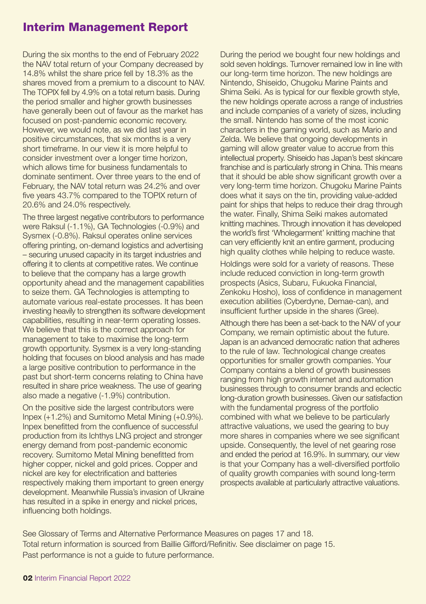## Interim Management Report

During the six months to the end of February 2022 the NAV total return of your Company decreased by 14.8% whilst the share price fell by 18.3% as the shares moved from a premium to a discount to NAV. The TOPIX fell by 4.9% on a total return basis. During the period smaller and higher growth businesses have generally been out of favour as the market has focused on post-pandemic economic recovery. However, we would note, as we did last year in positive circumstances, that six months is a very short timeframe. In our view it is more helpful to consider investment over a longer time horizon, which allows time for business fundamentals to dominate sentiment. Over three years to the end of February, the NAV total return was 24.2% and over five years 43.7% compared to the TOPIX return of 20.6% and 24.0% respectively.

The three largest negative contributors to performance were Raksul (-1.1%), GA Technologies (-0.9%) and Sysmex (-0.8%). Raksul operates online services offering printing, on-demand logistics and advertising – securing unused capacity in its target industries and offering it to clients at competitive rates. We continue to believe that the company has a large growth opportunity ahead and the management capabilities to seize them. GA Technologies is attempting to automate various real-estate processes. It has been investing heavily to strengthen its software development capabilities, resulting in near-term operating losses. We believe that this is the correct approach for management to take to maximise the long-term growth opportunity. Sysmex is a very long-standing holding that focuses on blood analysis and has made a large positive contribution to performance in the past but short-term concerns relating to China have resulted in share price weakness. The use of gearing also made a negative (-1.9%) contribution.

On the positive side the largest contributors were Inpex (+1.2%) and Sumitomo Metal Mining (+0.9%). Inpex benefitted from the confluence of successful production from its Ichthys LNG project and stronger energy demand from post-pandemic economic recovery. Sumitomo Metal Mining benefitted from higher copper, nickel and gold prices. Copper and nickel are key for electrification and batteries respectively making them important to green energy development. Meanwhile Russia's invasion of Ukraine has resulted in a spike in energy and nickel prices, influencing both holdings.

During the period we bought four new holdings and sold seven holdings. Turnover remained low in line with our long-term time horizon. The new holdings are Nintendo, Shiseido, Chugoku Marine Paints and Shima Seiki. As is typical for our flexible growth style, the new holdings operate across a range of industries and include companies of a variety of sizes, including the small. Nintendo has some of the most iconic characters in the gaming world, such as Mario and Zelda. We believe that ongoing developments in gaming will allow greater value to accrue from this intellectual property. Shiseido has Japan's best skincare franchise and is particularly strong in China. This means that it should be able show significant growth over a very long-term time horizon. Chugoku Marine Paints does what it says on the tin, providing value-added paint for ships that helps to reduce their drag through the water. Finally, Shima Seiki makes automated knitting machines. Through innovation it has developed the world's first 'Wholegarment' knitting machine that can very efficiently knit an entire garment, producing high quality clothes while helping to reduce waste.

Holdings were sold for a variety of reasons. These include reduced conviction in long-term growth prospects (Asics, Subaru, Fukuoka Financial, Zenkoku Hosho), loss of confidence in management execution abilities (Cyberdyne, Demae-can), and insufficient further upside in the shares (Gree).

Although there has been a set-back to the NAV of your Company, we remain optimistic about the future. Japan is an advanced democratic nation that adheres to the rule of law. Technological change creates opportunities for smaller growth companies. Your Company contains a blend of growth businesses ranging from high growth internet and automation businesses through to consumer brands and eclectic long-duration growth businesses. Given our satisfaction with the fundamental progress of the portfolio combined with what we believe to be particularly attractive valuations, we used the gearing to buy more shares in companies where we see significant upside. Consequently, the level of net gearing rose and ended the period at 16.9%. In summary, our view is that your Company has a well-diversified portfolio of quality growth companies with sound long-term prospects available at particularly attractive valuations.

See Glossary of Terms and Alternative Performance Measures on pages 17 and 18. Total return information is sourced from Baillie Gifford/Refinitiv. See disclaimer on page 15. Past performance is not a guide to future performance.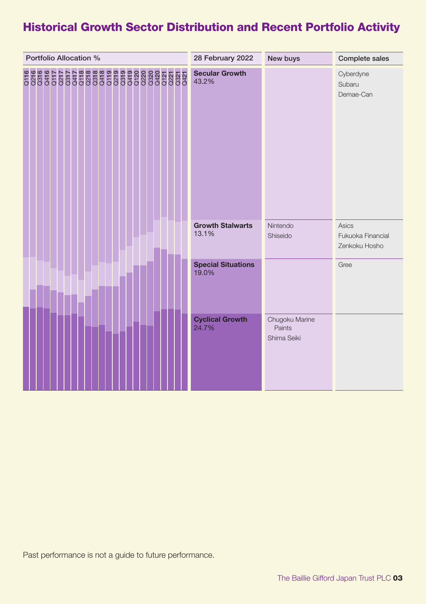# Historical Growth Sector Distribution and Recent Portfolio Activity

| Portfolio Allocation % | 28 February 2022                   | New buys                                | Complete sales                              |
|------------------------|------------------------------------|-----------------------------------------|---------------------------------------------|
|                        | <b>Secular Growth</b><br>43.2%     |                                         | Cyberdyne<br>Subaru<br>Demae-Can            |
|                        | <b>Growth Stalwarts</b><br>13.1%   | Nintendo<br>Shiseido                    | Asics<br>Fukuoka Financial<br>Zenkoku Hosho |
|                        | <b>Special Situations</b><br>19.0% |                                         | Gree                                        |
|                        | <b>Cyclical Growth</b><br>24.7%    | Chugoku Marine<br>Paints<br>Shima Seiki |                                             |

Past performance is not a guide to future performance.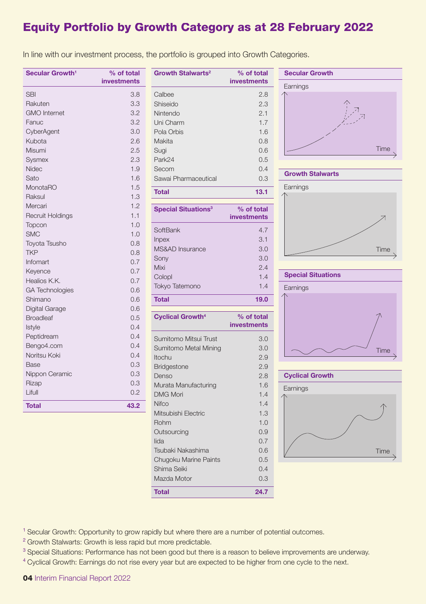# Equity Portfolio by Growth Category as at 28 February 2022

In line with our investment process, the portfolio is grouped into Growth Categories.

| Secular Growth <sup>1</sup> | % of total<br>investments |
|-----------------------------|---------------------------|
| SBI                         | 3.8                       |
| Rakuten                     | 3.3                       |
| <b>GMO</b> Internet         | 3.2                       |
| Fanuc                       | 3.2                       |
| CyberAgent                  | 3.0                       |
| Kubota                      | 2.6                       |
| Misumi                      | 2.5                       |
| Sysmex                      | 2.3                       |
| Nidec                       | 1.9                       |
| Sato                        | 1.6                       |
| MonotaRO                    | 1.5                       |
| Raksul                      | 1.3                       |
| Mercari                     | 1.2                       |
| Recruit Holdings            | 1.1                       |
| Topcon                      | 1.0                       |
| <b>SMC</b>                  | 1.0                       |
| Toyota Tsusho               | 0.8                       |
| <b>TKP</b>                  | 0.8                       |
| Infomart                    | 0.7                       |
| Keyence                     | 0.7                       |
| Healios K.K.                | 0.7                       |
| <b>GA Technologies</b>      | 0.6                       |
| Shimano                     | 0.6                       |
| Digital Garage              | 0.6                       |
| <b>Broadleaf</b>            | 0.5                       |
| Istyle                      | 0.4                       |
| Peptidream                  | 0.4                       |
| Bengo4.com                  | 0.4                       |
| Noritsu Koki                | 0.4                       |
| Base                        | 0.3                       |
| Nippon Ceramic              | 0.3                       |
| Rizap                       | 0.3                       |
| Lifull                      | 0.2                       |
| <b>Total</b>                | 43.2                      |

| Growth Stalwarts <sup>2</sup>         | % of total<br><b>investments</b> |
|---------------------------------------|----------------------------------|
| Calbee                                | 2.8                              |
| Shiseido                              | 2.3                              |
| Nintendo                              | 2.1                              |
| Uni Charm                             | 1.7                              |
| Pola Orbis                            | 1.6                              |
| Makita                                | 0.8                              |
| Sugi                                  | 0.6                              |
| Park24                                | 0.5                              |
| Secom                                 | 0.4                              |
| Sawai Pharmaceutical                  | 0.3                              |
| <b>Total</b>                          | 13.1                             |
| <b>Special Situations<sup>3</sup></b> | % of total<br>investments        |
| SoftBank                              | 4.7                              |
| Inpex                                 | 3.1                              |
| <b>MS&amp;AD</b> Insurance            | 3.0                              |
| Sony                                  | 3.0                              |
| Mixi                                  | 2.4                              |
| Colopl                                | 1.4                              |
| Tokyo Tatemono                        | 1.4                              |
| <b>Total</b>                          | 19.0                             |
| <b>Cyclical Growth<sup>4</sup></b>    | % of total<br><b>investments</b> |
| Sumitomo Mitsui Trust                 | 3.0                              |
| Sumitomo Metal Mining                 | 3.0                              |
| Itochu                                | 2.9                              |
| Bridgestone                           | 2.9                              |
| Denso                                 | 2.8                              |
| Murata Manufacturing                  | 1.6                              |
| <b>DMG Mori</b>                       | 1.4                              |
| Nifco                                 | 1.4                              |
| Mitsubishi Electric                   | 1.3                              |
| Rohm                                  | 1.0                              |
| Outsourcing                           | 0.9                              |
| lida                                  | 0.7                              |
| Tsubaki Nakashima                     | 0.6                              |
| Chugoku Marine Paints                 | 0.5                              |
| Shima Seiki                           | 0.4                              |
| Mazda Motor                           | 0.3                              |
| <b>Total</b>                          | 24.7                             |







<sup>1</sup> Secular Growth: Opportunity to grow rapidly but where there are a number of potential outcomes.

<sup>2</sup> Growth Stalwarts: Growth is less rapid but more predictable.

<sup>3</sup> Special Situations: Performance has not been good but there is a reason to believe improvements are underway.

<sup>4</sup> Cyclical Growth: Earnings do not rise every year but are expected to be higher from one cycle to the next.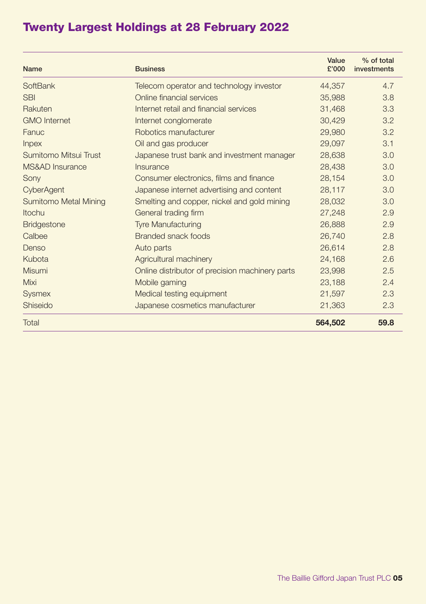# Twenty Largest Holdings at 28 February 2022

| <b>Name</b>                  | <b>Business</b>                                 | Value<br>£'000 | % of total<br>investments |
|------------------------------|-------------------------------------------------|----------------|---------------------------|
| SoftBank                     | Telecom operator and technology investor        | 44,357         | 4.7                       |
| <b>SBI</b>                   | Online financial services                       | 35,988         | 3.8                       |
| Rakuten                      | Internet retail and financial services          | 31,468         | 3.3                       |
| <b>GMO</b> Internet          | Internet conglomerate                           | 30,429         | 3.2                       |
| Fanuc                        | Robotics manufacturer                           | 29,980         | 3.2                       |
| <b>Inpex</b>                 | Oil and gas producer                            | 29,097         | 3.1                       |
| Sumitomo Mitsui Trust        | Japanese trust bank and investment manager      | 28.638         | 3.0                       |
| MS&AD Insurance              | Insurance                                       | 28,438         | 3.0                       |
| Sony                         | Consumer electronics, films and finance         | 28,154         | 3.0                       |
| CyberAgent                   | Japanese internet advertising and content       | 28.117         | 3.0                       |
| <b>Sumitomo Metal Mining</b> | Smelting and copper, nickel and gold mining     | 28,032         | 3.0                       |
| Itochu                       | General trading firm                            | 27,248         | 2.9                       |
| <b>Bridgestone</b>           | <b>Tyre Manufacturing</b>                       | 26,888         | 2.9                       |
| Calbee                       | Branded snack foods                             | 26,740         | 2.8                       |
| Denso                        | Auto parts                                      | 26.614         | 2.8                       |
| Kubota                       | Agricultural machinery                          | 24,168         | 2.6                       |
| Misumi                       | Online distributor of precision machinery parts | 23,998         | 2.5                       |
| Mixi                         | Mobile gaming                                   | 23.188         | 2.4                       |
| <b>Sysmex</b>                | Medical testing equipment                       | 21.597         | 2.3                       |
| Shiseido                     | Japanese cosmetics manufacturer                 | 21,363         | 2.3                       |
| Total                        |                                                 | 564,502        | 59.8                      |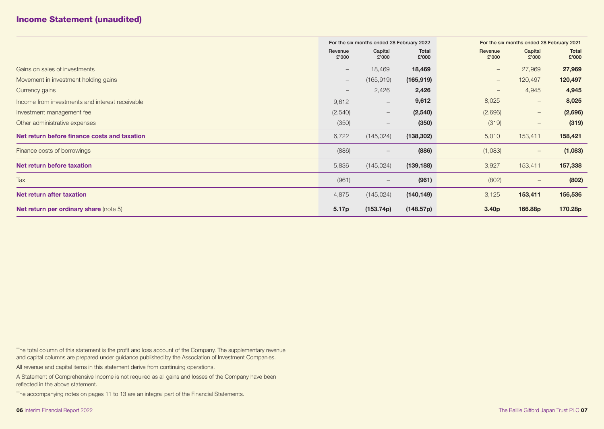# Income Statement (unaudited)

|                                                 | For the six months ended 28 February 2022 |                                 |                       | For the six months ended 28 February 2021 |                                 |                |
|-------------------------------------------------|-------------------------------------------|---------------------------------|-----------------------|-------------------------------------------|---------------------------------|----------------|
|                                                 | Revenue<br>£'000                          | Capital<br>£'000                | <b>Total</b><br>£'000 | Revenue<br>£'000                          | Capital<br>£'000                | Total<br>£'000 |
| Gains on sales of investments                   | $\qquad \qquad -$                         | 18,469                          | 18,469                | $\overline{\phantom{m}}$                  | 27,969                          | 27,969         |
| Movement in investment holding gains            | $\qquad \qquad -$                         | (165, 919)                      | (165, 919)            | $\qquad \qquad -$                         | 120,497                         | 120,497        |
| Currency gains                                  | $\hspace{0.1mm}-\hspace{0.1mm}$           | 2,426                           | 2,426                 |                                           | 4,945                           | 4,945          |
| Income from investments and interest receivable | 9,612                                     | $\overline{\phantom{m}}$        | 9,612                 | 8,025                                     | $\hspace{0.1mm}-\hspace{0.1mm}$ | 8,025          |
| Investment management fee                       | (2,540)                                   | $\hspace{0.1mm}-\hspace{0.1mm}$ | (2, 540)              | (2,696)                                   | $\hspace{0.1mm}-\hspace{0.1mm}$ | (2,696)        |
| Other administrative expenses                   | (350)                                     | $\hspace{0.1mm}-\hspace{0.1mm}$ | (350)                 | (319)                                     |                                 | (319)          |
| Net return before finance costs and taxation    | 6,722                                     | (145, 024)                      | (138, 302)            | 5,010                                     | 153,411                         | 158,421        |
| Finance costs of borrowings                     | (886)                                     | $\hspace{0.1mm}-\hspace{0.1mm}$ | (886)                 | (1,083)                                   | $\hspace{0.1mm}-\hspace{0.1mm}$ | (1,083)        |
| Net return before taxation                      | 5,836                                     | (145, 024)                      | (139, 188)            | 3,927                                     | 153,411                         | 157,338        |
| Tax                                             | (961)                                     | $\hspace{0.1mm}-\hspace{0.1mm}$ | (961)                 | (802)                                     | $\qquad \qquad -$               | (802)          |
| Net return after taxation                       | 4,875                                     | (145, 024)                      | (140, 149)            | 3,125                                     | 153,411                         | 156,536        |
| <b>Net return per ordinary share (note 5)</b>   | 5.17p                                     | (153.74p)                       | (148.57p)             | 3.40 <sub>p</sub>                         | 166.88p                         | 170.28p        |

The total column of this statement is the profit and loss account of the Company. The supplementary revenue and capital columns are prepared under guidance published by the Association of Investment Companies.

All revenue and capital items in this statement derive from continuing operations.

A Statement of Comprehensive Income is not required as all gains and losses of the Company have been reflected in the above statement.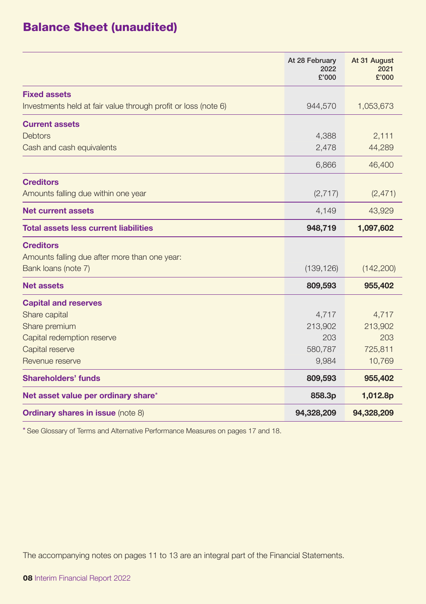# Balance Sheet (unaudited)

|                                                                | At 28 February<br>2022<br>£'000 | At 31 August<br>2021<br>£'000 |
|----------------------------------------------------------------|---------------------------------|-------------------------------|
| <b>Fixed assets</b>                                            |                                 |                               |
| Investments held at fair value through profit or loss (note 6) | 944,570                         | 1,053,673                     |
| <b>Current assets</b>                                          |                                 |                               |
| <b>Debtors</b>                                                 | 4,388                           | 2,111                         |
| Cash and cash equivalents                                      | 2,478                           | 44,289                        |
|                                                                | 6,866                           | 46,400                        |
| <b>Creditors</b>                                               |                                 |                               |
| Amounts falling due within one year                            | (2, 717)                        | (2, 471)                      |
| Net current assets                                             | 4,149                           | 43,929                        |
| <b>Total assets less current liabilities</b>                   | 948,719                         | 1,097,602                     |
| <b>Creditors</b>                                               |                                 |                               |
| Amounts falling due after more than one year:                  |                                 |                               |
| Bank loans (note 7)                                            | (139, 126)                      | (142, 200)                    |
| <b>Net assets</b>                                              | 809,593                         | 955,402                       |
| <b>Capital and reserves</b>                                    |                                 |                               |
| Share capital                                                  | 4,717                           | 4,717                         |
| Share premium                                                  | 213,902                         | 213,902                       |
| Capital redemption reserve                                     | 203                             | 203                           |
| Capital reserve                                                | 580,787                         | 725,811                       |
| Revenue reserve                                                | 9,984                           | 10,769                        |
| Shareholders' funds                                            | 809,593                         | 955,402                       |
| Net asset value per ordinary share*                            | 858.3p                          | 1,012.8p                      |
| <b>Ordinary shares in issue (note 8)</b>                       | 94,328,209                      | 94,328,209                    |

\* See Glossary of Terms and Alternative Performance Measures on pages 17 and 18.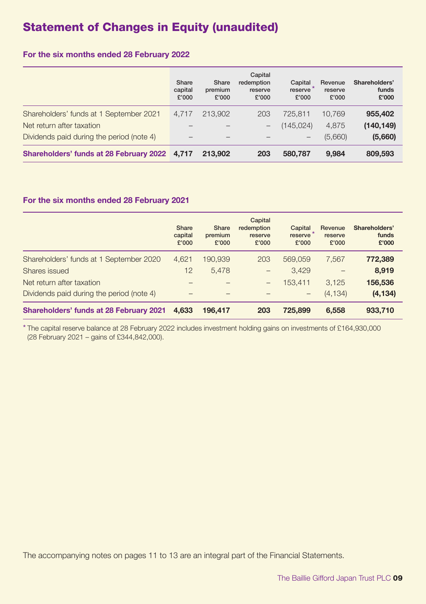# Statement of Changes in Equity (unaudited)

### **For the six months ended 28 February 2022**

|                                               | Share<br>capital<br>£'000 | Share<br>premium<br>£'000 | Capital<br>redemption<br>reserve<br>£'000 | Capital<br>reserve <sup>*</sup><br>£'000 | Revenue<br>reserve<br>£'000 | Shareholders'<br>funds<br>£'000 |
|-----------------------------------------------|---------------------------|---------------------------|-------------------------------------------|------------------------------------------|-----------------------------|---------------------------------|
| Shareholders' funds at 1 September 2021       | 4.717                     | 213,902                   | 203                                       | 725.811                                  | 10.769                      | 955,402                         |
| Net return after taxation                     |                           |                           | -                                         | (145.024)                                | 4.875                       | (140, 149)                      |
| Dividends paid during the period (note 4)     |                           |                           |                                           | -                                        | (5,660)                     | (5,660)                         |
| Shareholders' funds at 28 February 2022 4,717 |                           | 213,902                   | 203                                       | 580,787                                  | 9.984                       | 809,593                         |

#### **For the six months ended 28 February 2021**

|                                           | Share<br>capital<br>£'000 | Share<br>premium<br>£'000 | Capital<br>redemption<br>reserve<br>£'000 | Capital<br>reserve<br>£'000 | Revenue<br>reserve<br>£'000 | Shareholders'<br>funds<br>£'000 |
|-------------------------------------------|---------------------------|---------------------------|-------------------------------------------|-----------------------------|-----------------------------|---------------------------------|
| Shareholders' funds at 1 September 2020   | 4,621                     | 190,939                   | 203                                       | 569,059                     | 7.567                       | 772,389                         |
| Shares issued                             | 12                        | 5.478                     | -                                         | 3.429                       |                             | 8,919                           |
| Net return after taxation                 |                           |                           | -                                         | 153.411                     | 3.125                       | 156,536                         |
| Dividends paid during the period (note 4) |                           |                           |                                           | $\qquad \qquad -$           | (4, 134)                    | (4, 134)                        |
| Shareholders' funds at 28 February 2021   | 4.633                     | 196.417                   | 203                                       | 725.899                     | 6.558                       | 933.710                         |

\* The capital reserve balance at 28 February 2022 includes investment holding gains on investments of £164,930,000 (28 February 2021 – gains of £344,842,000).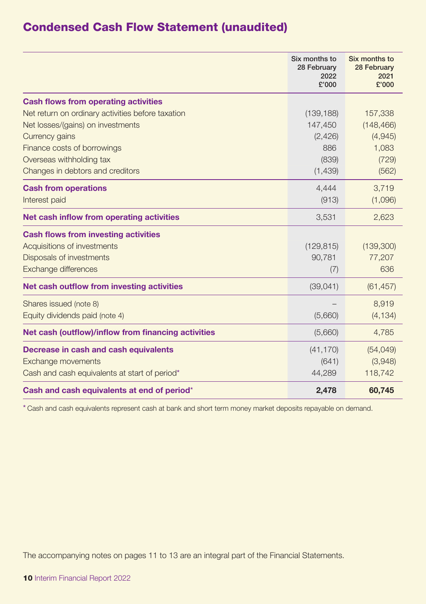# Condensed Cash Flow Statement (unaudited)

|                                                     | Six months to<br>28 February<br>2022<br>£'000 | Six months to<br>28 February<br>2021<br>£'000 |
|-----------------------------------------------------|-----------------------------------------------|-----------------------------------------------|
| <b>Cash flows from operating activities</b>         |                                               |                                               |
| Net return on ordinary activities before taxation   | (139, 188)                                    | 157,338                                       |
| Net losses/(gains) on investments                   | 147,450                                       | (148, 466)                                    |
| Currency gains                                      | (2,426)                                       | (4,945)                                       |
| Finance costs of borrowings                         | 886                                           | 1.083                                         |
| Overseas withholding tax                            | (839)                                         | (729)                                         |
| Changes in debtors and creditors                    | (1,439)                                       | (562)                                         |
| <b>Cash from operations</b>                         | 4.444                                         | 3,719                                         |
| Interest paid                                       | (913)                                         | (1,096)                                       |
| Net cash inflow from operating activities           | 3,531                                         | 2,623                                         |
| <b>Cash flows from investing activities</b>         |                                               |                                               |
| Acquisitions of investments                         | (129, 815)                                    | (139,300)                                     |
| Disposals of investments                            | 90,781                                        | 77,207                                        |
| Exchange differences                                | (7)                                           | 636                                           |
| Net cash outflow from investing activities          | (39,041)                                      | (61, 457)                                     |
| Shares issued (note 8)                              |                                               | 8,919                                         |
| Equity dividends paid (note 4)                      | (5,660)                                       | (4, 134)                                      |
| Net cash (outflow)/inflow from financing activities | (5,660)                                       | 4,785                                         |
| Decrease in cash and cash equivalents               | (41, 170)                                     | (54, 049)                                     |
| Exchange movements                                  | (641)                                         | (3,948)                                       |
| Cash and cash equivalents at start of period*       | 44,289                                        | 118,742                                       |
| Cash and cash equivalents at end of period*         | 2,478                                         | 60,745                                        |

\* Cash and cash equivalents represent cash at bank and short term money market deposits repayable on demand.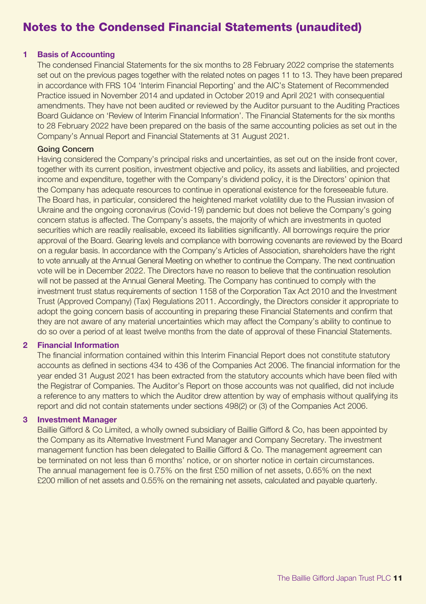# Notes to the Condensed Financial Statements (unaudited)

#### **1 Basis of Accounting**

The condensed Financial Statements for the six months to 28 February 2022 comprise the statements set out on the previous pages together with the related notes on pages 11 to 13. They have been prepared in accordance with FRS 104 'Interim Financial Reporting' and the AIC's Statement of Recommended Practice issued in November 2014 and updated in October 2019 and April 2021 with consequential amendments. They have not been audited or reviewed by the Auditor pursuant to the Auditing Practices Board Guidance on 'Review of Interim Financial Information'. The Financial Statements for the six months to 28 February 2022 have been prepared on the basis of the same accounting policies as set out in the Company's Annual Report and Financial Statements at 31 August 2021.

#### Going Concern

Having considered the Company's principal risks and uncertainties, as set out on the inside front cover, together with its current position, investment objective and policy, its assets and liabilities, and projected income and expenditure, together with the Company's dividend policy, it is the Directors' opinion that the Company has adequate resources to continue in operational existence for the foreseeable future. The Board has, in particular, considered the heightened market volatility due to the Russian invasion of Ukraine and the ongoing coronavirus (Covid-19) pandemic but does not believe the Company's going concern status is affected. The Company's assets, the majority of which are investments in quoted securities which are readily realisable, exceed its liabilities significantly. All borrowings require the prior approval of the Board. Gearing levels and compliance with borrowing covenants are reviewed by the Board on a regular basis. In accordance with the Company's Articles of Association, shareholders have the right to vote annually at the Annual General Meeting on whether to continue the Company. The next continuation vote will be in December 2022. The Directors have no reason to believe that the continuation resolution will not be passed at the Annual General Meeting. The Company has continued to comply with the investment trust status requirements of section 1158 of the Corporation Tax Act 2010 and the Investment Trust (Approved Company) (Tax) Regulations 2011. Accordingly, the Directors consider it appropriate to adopt the going concern basis of accounting in preparing these Financial Statements and confirm that they are not aware of any material uncertainties which may affect the Company's ability to continue to do so over a period of at least twelve months from the date of approval of these Financial Statements.

#### **2 Financial Information**

The financial information contained within this Interim Financial Report does not constitute statutory accounts as defined in sections 434 to 436 of the Companies Act 2006. The financial information for the year ended 31 August 2021 has been extracted from the statutory accounts which have been filed with the Registrar of Companies. The Auditor's Report on those accounts was not qualified, did not include a reference to any matters to which the Auditor drew attention by way of emphasis without qualifying its report and did not contain statements under sections 498(2) or (3) of the Companies Act 2006.

#### **3 Investment Manager**

Baillie Gifford & Co Limited, a wholly owned subsidiary of Baillie Gifford & Co, has been appointed by the Company as its Alternative Investment Fund Manager and Company Secretary. The investment management function has been delegated to Baillie Gifford & Co. The management agreement can be terminated on not less than 6 months' notice, or on shorter notice in certain circumstances. The annual management fee is 0.75% on the first £50 million of net assets, 0.65% on the next £200 million of net assets and 0.55% on the remaining net assets, calculated and payable quarterly.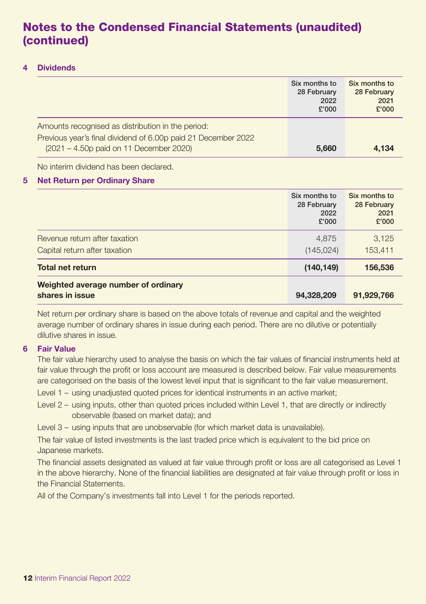# Notes to the Condensed Financial Statements (unaudited) (continued)

### **4 Dividends**

|                                                                                                                                                               | Six months to<br>28 February<br>2022<br>£'000 | Six months to<br>28 February<br>2021<br>£'000 |
|---------------------------------------------------------------------------------------------------------------------------------------------------------------|-----------------------------------------------|-----------------------------------------------|
| Amounts recognised as distribution in the period:<br>Previous year's final dividend of 6.00p paid 21 December 2022<br>(2021 – 4.50p paid on 11 December 2020) | 5.660                                         | 4.134                                         |

No interim dividend has been declared.

### **5 Net Return per Ordinary Share**

|                                                                | Six months to<br>28 February<br>2022<br>£'000 | Six months to<br>28 February<br>2021<br>£'000 |
|----------------------------------------------------------------|-----------------------------------------------|-----------------------------------------------|
| Revenue return after taxation<br>Capital return after taxation | 4,875<br>(145, 024)                           | 3,125<br>153,411                              |
| <b>Total net return</b>                                        | (140, 149)                                    | 156,536                                       |
| Weighted average number of ordinary<br>shares in issue         | 94,328,209                                    | 91,929,766                                    |

Net return per ordinary share is based on the above totals of revenue and capital and the weighted average number of ordinary shares in issue during each period. There are no dilutive or potentially dilutive shares in issue.

#### **6 Fair Value**

The fair value hierarchy used to analyse the basis on which the fair values of financial instruments held at fair value through the profit or loss account are measured is described below. Fair value measurements are categorised on the basis of the lowest level input that is significant to the fair value measurement.

Level 1 – using unadjusted quoted prices for identical instruments in an active market;

Level 2 – using inputs, other than quoted prices included within Level 1, that are directly or indirectly observable (based on market data); and

Level 3 – using inputs that are unobservable (for which market data is unavailable).

The fair value of listed investments is the last traded price which is equivalent to the bid price on Japanese markets.

The financial assets designated as valued at fair value through profit or loss are all categorised as Level 1 in the above hierarchy. None of the financial liabilities are designated at fair value through profit or loss in the Financial Statements.

All of the Company's investments fall into Level 1 for the periods reported.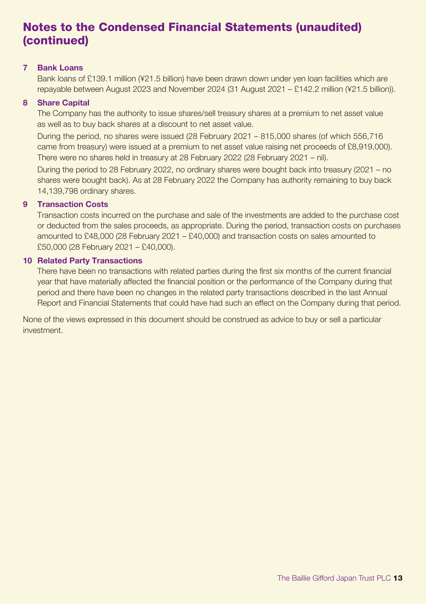# Notes to the Condensed Financial Statements (unaudited) (continued)

#### **7 Bank Loans**

Bank loans of £139.1 million (¥21.5 billion) have been drawn down under yen loan facilities which are repayable between August 2023 and November 2024 (31 August 2021 – £142.2 million (¥21.5 billion)).

### **8 Share Capital**

The Company has the authority to issue shares/sell treasury shares at a premium to net asset value as well as to buy back shares at a discount to net asset value.

During the period, no shares were issued (28 February 2021 – 815,000 shares (of which 556,716 came from treasury) were issued at a premium to net asset value raising net proceeds of £8,919,000). There were no shares held in treasury at 28 February 2022 (28 February 2021 – nil).

During the period to 28 February 2022, no ordinary shares were bought back into treasury (2021 – no shares were bought back). As at 28 February 2022 the Company has authority remaining to buy back 14,139,798 ordinary shares.

### **9 Transaction Costs**

Transaction costs incurred on the purchase and sale of the investments are added to the purchase cost or deducted from the sales proceeds, as appropriate. During the period, transaction costs on purchases amounted to £48,000 (28 February 2021 – £40,000) and transaction costs on sales amounted to £50,000 (28 February 2021 – £40,000).

#### **10 Related Party Transactions**

There have been no transactions with related parties during the first six months of the current financial year that have materially affected the financial position or the performance of the Company during that period and there have been no changes in the related party transactions described in the last Annual Report and Financial Statements that could have had such an effect on the Company during that period.

None of the views expressed in this document should be construed as advice to buy or sell a particular investment.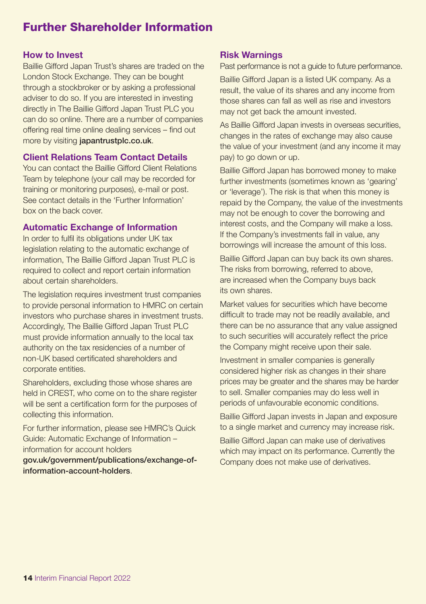# Further Shareholder Information

### **How to Invest**

Baillie Gifford Japan Trust's shares are traded on the London Stock Exchange. They can be bought through a stockbroker or by asking a professional adviser to do so. If you are interested in investing directly in The Baillie Gifford Japan Trust PLC you can do so online. There are a number of companies offering real time online dealing services – find out more by visiting japantrustplc.co.uk.

### **Client Relations Team Contact Details**

You can contact the Baillie Gifford Client Relations Team by telephone (your call may be recorded for training or monitoring purposes), e-mail or post. See contact details in the 'Further Information' box on the back cover.

### **Automatic Exchange of Information**

In order to fulfil its obligations under UK tax legislation relating to the automatic exchange of information, The Baillie Gifford Japan Trust PLC is required to collect and report certain information about certain shareholders.

The legislation requires investment trust companies to provide personal information to HMRC on certain investors who purchase shares in investment trusts. Accordingly, The Baillie Gifford Japan Trust PLC must provide information annually to the local tax authority on the tax residencies of a number of non-UK based certificated shareholders and corporate entities.

Shareholders, excluding those whose shares are held in CREST, who come on to the share register will be sent a certification form for the purposes of collecting this information.

For further information, please see HMRC's Quick Guide: Automatic Exchange of Information – information for account holders gov.uk/government/publications/exchange-of-

information-account-holders.

### **Risk Warnings**

Past performance is not a guide to future performance.

Baillie Gifford Japan is a listed UK company. As a result, the value of its shares and any income from those shares can fall as well as rise and investors may not get back the amount invested.

As Baillie Gifford Japan invests in overseas securities, changes in the rates of exchange may also cause the value of your investment (and any income it may pay) to go down or up.

Baillie Gifford Japan has borrowed money to make further investments (sometimes known as 'gearing' or 'leverage'). The risk is that when this money is repaid by the Company, the value of the investments may not be enough to cover the borrowing and interest costs, and the Company will make a loss. If the Company's investments fall in value, any borrowings will increase the amount of this loss.

Baillie Gifford Japan can buy back its own shares. The risks from borrowing, referred to above, are increased when the Company buys back its own shares.

Market values for securities which have become difficult to trade may not be readily available, and there can be no assurance that any value assigned to such securities will accurately reflect the price the Company might receive upon their sale.

Investment in smaller companies is generally considered higher risk as changes in their share prices may be greater and the shares may be harder to sell. Smaller companies may do less well in periods of unfavourable economic conditions.

Baillie Gifford Japan invests in Japan and exposure to a single market and currency may increase risk.

Baillie Gifford Japan can make use of derivatives which may impact on its performance. Currently the Company does not make use of derivatives.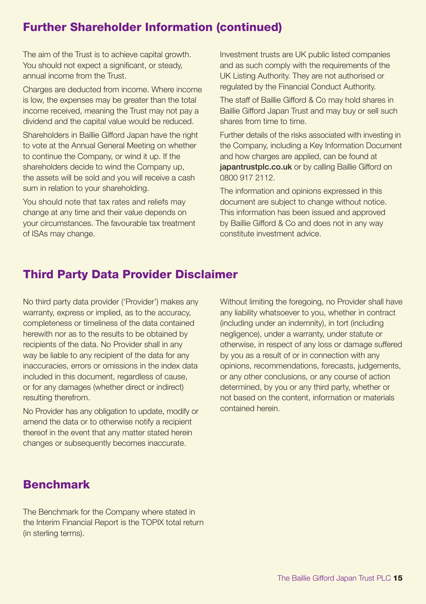# Further Shareholder Information (continued)

The aim of the Trust is to achieve capital growth. You should not expect a significant, or steady, annual income from the Trust.

Charges are deducted from income. Where income is low, the expenses may be greater than the total income received, meaning the Trust may not pay a dividend and the capital value would be reduced.

Shareholders in Baillie Gifford Japan have the right to vote at the Annual General Meeting on whether to continue the Company, or wind it up. If the shareholders decide to wind the Company up, the assets will be sold and you will receive a cash sum in relation to your shareholding.

You should note that tax rates and reliefs may change at any time and their value depends on your circumstances. The favourable tax treatment of ISAs may change.

Investment trusts are UK public listed companies and as such comply with the requirements of the UK Listing Authority. They are not authorised or regulated by the Financial Conduct Authority.

The staff of Baillie Gifford & Co may hold shares in Baillie Gifford Japan Trust and may buy or sell such shares from time to time.

Further details of the risks associated with investing in the Company, including a Key Information Document and how charges are applied, can be found at iapantrustplc.co.uk or by calling Baillie Gifford on 0800 917 2112.

The information and opinions expressed in this document are subject to change without notice. This information has been issued and approved by Baillie Gifford & Co and does not in any way constitute investment advice.

# Third Party Data Provider Disclaimer

No third party data provider ('Provider') makes any warranty, express or implied, as to the accuracy, completeness or timeliness of the data contained herewith nor as to the results to be obtained by recipients of the data. No Provider shall in any way be liable to any recipient of the data for any inaccuracies, errors or omissions in the index data included in this document, regardless of cause, or for any damages (whether direct or indirect) resulting therefrom.

No Provider has any obligation to update, modify or amend the data or to otherwise notify a recipient thereof in the event that any matter stated herein changes or subsequently becomes inaccurate.

Without limiting the foregoing, no Provider shall have any liability whatsoever to you, whether in contract (including under an indemnity), in tort (including negligence), under a warranty, under statute or otherwise, in respect of any loss or damage suffered by you as a result of or in connection with any opinions, recommendations, forecasts, judgements, or any other conclusions, or any course of action determined, by you or any third party, whether or not based on the content, information or materials contained herein.

# Benchmark

The Benchmark for the Company where stated in the Interim Financial Report is the TOPIX total return (in sterling terms).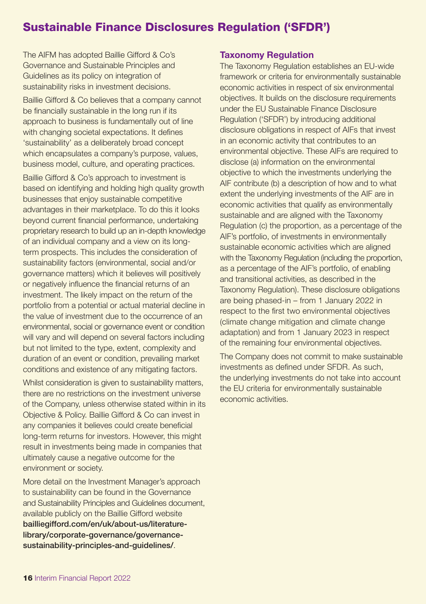# Sustainable Finance Disclosures Regulation ('SFDR')

The AIFM has adopted Baillie Gifford & Co's Governance and Sustainable Principles and Guidelines as its policy on integration of sustainability risks in investment decisions.

Baillie Gifford & Co believes that a company cannot be financially sustainable in the long run if its approach to business is fundamentally out of line with changing societal expectations. It defines 'sustainability' as a deliberately broad concept which encapsulates a company's purpose, values, business model, culture, and operating practices.

Baillie Gifford & Co's approach to investment is based on identifying and holding high quality growth businesses that enjoy sustainable competitive advantages in their marketplace. To do this it looks beyond current financial performance, undertaking proprietary research to build up an in-depth knowledge of an individual company and a view on its longterm prospects. This includes the consideration of sustainability factors (environmental, social and/or governance matters) which it believes will positively or negatively influence the financial returns of an investment. The likely impact on the return of the portfolio from a potential or actual material decline in the value of investment due to the occurrence of an environmental, social or governance event or condition will vary and will depend on several factors including but not limited to the type, extent, complexity and duration of an event or condition, prevailing market conditions and existence of any mitigating factors.

Whilst consideration is given to sustainability matters, there are no restrictions on the investment universe of the Company, unless otherwise stated within in its Objective & Policy. Baillie Gifford & Co can invest in any companies it believes could create beneficial long-term returns for investors. However, this might result in investments being made in companies that ultimately cause a negative outcome for the environment or society.

More detail on the Investment Manager's approach to sustainability can be found in the Governance and Sustainability Principles and Guidelines document, available publicly on the Baillie Gifford website bailliegifford.com/en/uk/about-us/literaturelibrary/corporate-governance/governancesustainability-principles-and-guidelines/.

### **Taxonomy Regulation**

The Taxonomy Regulation establishes an EU-wide framework or criteria for environmentally sustainable economic activities in respect of six environmental objectives. It builds on the disclosure requirements under the EU Sustainable Finance Disclosure Regulation ('SFDR') by introducing additional disclosure obligations in respect of AIFs that invest in an economic activity that contributes to an environmental objective. These AIFs are required to disclose (a) information on the environmental objective to which the investments underlying the AIF contribute (b) a description of how and to what extent the underlying investments of the AIF are in economic activities that qualify as environmentally sustainable and are aligned with the Taxonomy Regulation (c) the proportion, as a percentage of the AIF's portfolio, of investments in environmentally sustainable economic activities which are aligned with the Taxonomy Regulation (including the proportion, as a percentage of the AIF's portfolio, of enabling and transitional activities, as described in the Taxonomy Regulation). These disclosure obligations are being phased-in – from 1 January 2022 in respect to the first two environmental objectives (climate change mitigation and climate change adaptation) and from 1 January 2023 in respect of the remaining four environmental objectives.

The Company does not commit to make sustainable investments as defined under SFDR. As such, the underlying investments do not take into account the EU criteria for environmentally sustainable economic activities.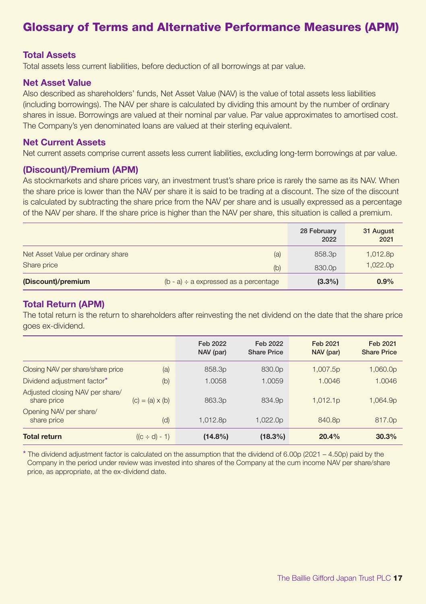# Glossary of Terms and Alternative Performance Measures (APM)

### **Total Assets**

Total assets less current liabilities, before deduction of all borrowings at par value.

### **Net Asset Value**

Also described as shareholders' funds, Net Asset Value (NAV) is the value of total assets less liabilities (including borrowings). The NAV per share is calculated by dividing this amount by the number of ordinary shares in issue. Borrowings are valued at their nominal par value. Par value approximates to amortised cost. The Company's yen denominated loans are valued at their sterling equivalent.

#### **Net Current Assets**

Net current assets comprise current assets less current liabilities, excluding long-term borrowings at par value.

#### **(Discount)/Premium (APM)**

As stockmarkets and share prices vary, an investment trust's share price is rarely the same as its NAV. When the share price is lower than the NAV per share it is said to be trading at a discount. The size of the discount is calculated by subtracting the share price from the NAV per share and is usually expressed as a percentage of the NAV per share. If the share price is higher than the NAV per share, this situation is called a premium.

|                                    |                                            | 28 February<br>2022 | 31 August<br>2021 |
|------------------------------------|--------------------------------------------|---------------------|-------------------|
| Net Asset Value per ordinary share | (a)                                        | 858.3p              | 1,012.8p          |
| Share price                        | (b)                                        | 830.0p              | 1,022.0p          |
| (Discount)/premium                 | $(b - a) \div a$ expressed as a percentage | $(3.3\%)$           | 0.9%              |

### **Total Return (APM)**

The total return is the return to shareholders after reinvesting the net dividend on the date that the share price goes ex-dividend.

|                                                |                        | Feb 2022<br>NAV (par) | Feb 2022<br><b>Share Price</b> | Feb 2021<br>NAV (par) | Feb 2021<br><b>Share Price</b> |
|------------------------------------------------|------------------------|-----------------------|--------------------------------|-----------------------|--------------------------------|
| Closing NAV per share/share price              | (a)                    | 858.3p                | 830.0p                         | 1,007.5p              | 1,060.0p                       |
| Dividend adjustment factor*                    | (b)                    | 1.0058                | 1.0059                         | 1.0046                | 1.0046                         |
| Adjusted closing NAV per share/<br>share price | $(c) = (a) \times (b)$ | 863.3 <sub>p</sub>    | 834.9 <sub>p</sub>             | 1,012.1p              | 1,064.9p                       |
| Opening NAV per share/<br>share price          | (d)                    | 1.012.8 <sub>p</sub>  | 1.022.0 <sub>p</sub>           | 840.8 <sub>p</sub>    | 817.0p                         |
| <b>Total return</b>                            | $((c \div d) - 1)$     | $(14.8\%)$            | $(18.3\%)$                     | 20.4%                 | 30.3%                          |

\* The dividend adjustment factor is calculated on the assumption that the dividend of 6.00p (2021 – 4.50p) paid by the Company in the period under review was invested into shares of the Company at the cum income NAV per share/share price, as appropriate, at the ex-dividend date.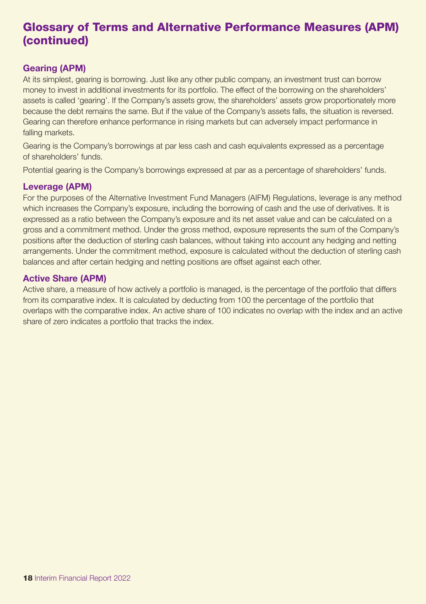# Glossary of Terms and Alternative Performance Measures (APM) (continued)

### **Gearing (APM)**

At its simplest, gearing is borrowing. Just like any other public company, an investment trust can borrow money to invest in additional investments for its portfolio. The effect of the borrowing on the shareholders' assets is called 'gearing'. If the Company's assets grow, the shareholders' assets grow proportionately more because the debt remains the same. But if the value of the Company's assets falls, the situation is reversed. Gearing can therefore enhance performance in rising markets but can adversely impact performance in falling markets.

Gearing is the Company's borrowings at par less cash and cash equivalents expressed as a percentage of shareholders' funds.

Potential gearing is the Company's borrowings expressed at par as a percentage of shareholders' funds.

### **Leverage (APM)**

For the purposes of the Alternative Investment Fund Managers (AIFM) Regulations, leverage is any method which increases the Company's exposure, including the borrowing of cash and the use of derivatives. It is expressed as a ratio between the Company's exposure and its net asset value and can be calculated on a gross and a commitment method. Under the gross method, exposure represents the sum of the Company's positions after the deduction of sterling cash balances, without taking into account any hedging and netting arrangements. Under the commitment method, exposure is calculated without the deduction of sterling cash balances and after certain hedging and netting positions are offset against each other.

### **Active Share (APM)**

Active share, a measure of how actively a portfolio is managed, is the percentage of the portfolio that differs from its comparative index. It is calculated by deducting from 100 the percentage of the portfolio that overlaps with the comparative index. An active share of 100 indicates no overlap with the index and an active share of zero indicates a portfolio that tracks the index.